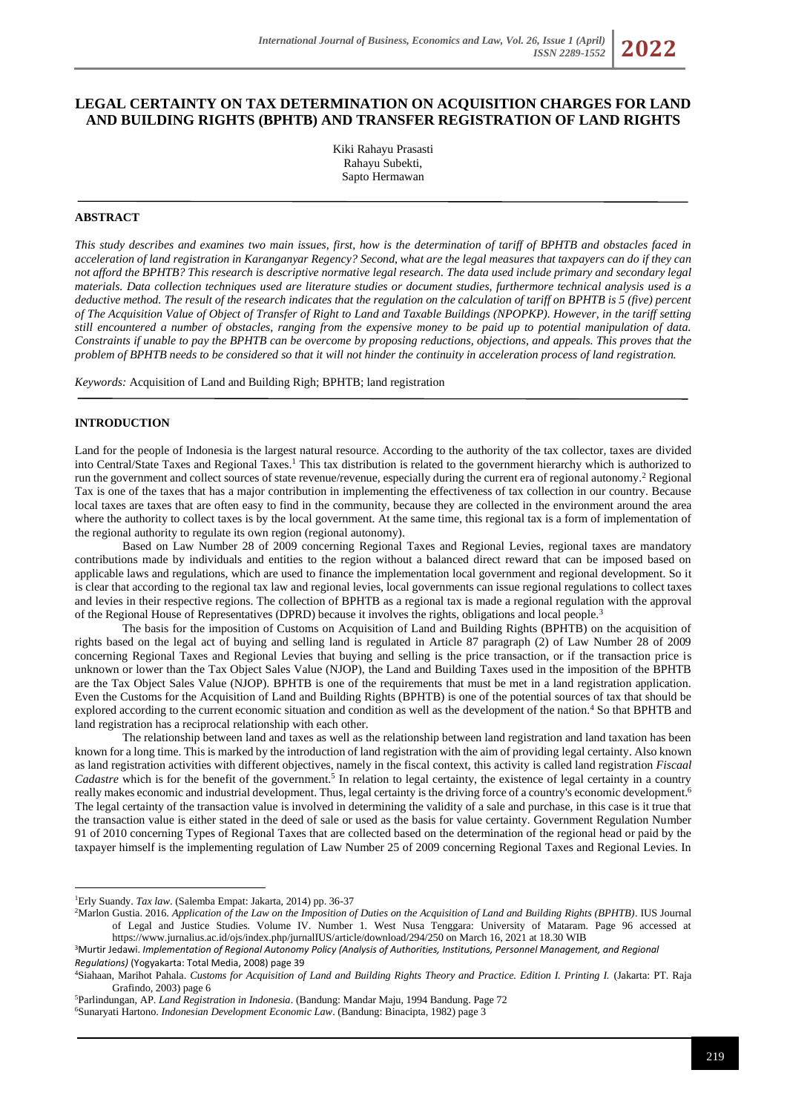# **LEGAL CERTAINTY ON TAX DETERMINATION ON ACQUISITION CHARGES FOR LAND AND BUILDING RIGHTS (BPHTB) AND TRANSFER REGISTRATION OF LAND RIGHTS**

Kiki Rahayu Prasasti Rahayu Subekti, Sapto Hermawan

### **ABSTRACT**

*This study describes and examines two main issues, first, how is the determination of tariff of BPHTB and obstacles faced in acceleration of land registration in Karanganyar Regency? Second, what are the legal measures that taxpayers can do if they can not afford the BPHTB? This research is descriptive normative legal research. The data used include primary and secondary legal materials. Data collection techniques used are literature studies or document studies, furthermore technical analysis used is a deductive method. The result of the research indicates that the regulation on the calculation of tariff on BPHTB is 5 (five) percent of The Acquisition Value of Object of Transfer of Right to Land and Taxable Buildings (NPOPKP). However, in the tariff setting still encountered a number of obstacles, ranging from the expensive money to be paid up to potential manipulation of data. Constraints if unable to pay the BPHTB can be overcome by proposing reductions, objections, and appeals. This proves that the problem of BPHTB needs to be considered so that it will not hinder the continuity in acceleration process of land registration.*

*Keywords:* Acquisition of Land and Building Righ; BPHTB; land registration

## **INTRODUCTION**

Land for the people of Indonesia is the largest natural resource. According to the authority of the tax collector, taxes are divided into Central/State Taxes and Regional Taxes.<sup>1</sup> This tax distribution is related to the government hierarchy which is authorized to run the government and collect sources of state revenue/revenue, especially during the current era of regional autonomy.<sup>2</sup> Regional Tax is one of the taxes that has a major contribution in implementing the effectiveness of tax collection in our country. Because local taxes are taxes that are often easy to find in the community, because they are collected in the environment around the area where the authority to collect taxes is by the local government. At the same time, this regional tax is a form of implementation of the regional authority to regulate its own region (regional autonomy).

Based on Law Number 28 of 2009 concerning Regional Taxes and Regional Levies, regional taxes are mandatory contributions made by individuals and entities to the region without a balanced direct reward that can be imposed based on applicable laws and regulations, which are used to finance the implementation local government and regional development. So it is clear that according to the regional tax law and regional levies, local governments can issue regional regulations to collect taxes and levies in their respective regions. The collection of BPHTB as a regional tax is made a regional regulation with the approval of the Regional House of Representatives (DPRD) because it involves the rights, obligations and local people.<sup>3</sup>

The basis for the imposition of Customs on Acquisition of Land and Building Rights (BPHTB) on the acquisition of rights based on the legal act of buying and selling land is regulated in Article 87 paragraph (2) of Law Number 28 of 2009 concerning Regional Taxes and Regional Levies that buying and selling is the price transaction, or if the transaction price is unknown or lower than the Tax Object Sales Value (NJOP), the Land and Building Taxes used in the imposition of the BPHTB are the Tax Object Sales Value (NJOP). BPHTB is one of the requirements that must be met in a land registration application. Even the Customs for the Acquisition of Land and Building Rights (BPHTB) is one of the potential sources of tax that should be explored according to the current economic situation and condition as well as the development of the nation.<sup>4</sup> So that BPHTB and land registration has a reciprocal relationship with each other.

The relationship between land and taxes as well as the relationship between land registration and land taxation has been known for a long time. This is marked by the introduction of land registration with the aim of providing legal certainty. Also known as land registration activities with different objectives, namely in the fiscal context, this activity is called land registration *Fiscaal*  Cadastre which is for the benefit of the government.<sup>5</sup> In relation to legal certainty, the existence of legal certainty in a country really makes economic and industrial development. Thus, legal certainty is the driving force of a country's economic development.<sup>6</sup> The legal certainty of the transaction value is involved in determining the validity of a sale and purchase, in this case is it true that the transaction value is either stated in the deed of sale or used as the basis for value certainty. Government Regulation Number 91 of 2010 concerning Types of Regional Taxes that are collected based on the determination of the regional head or paid by the taxpayer himself is the implementing regulation of Law Number 25 of 2009 concerning Regional Taxes and Regional Levies. In

<sup>1</sup>Erly Suandy. *Tax law*. (Salemba Empat: Jakarta, 2014) pp. 36-37

<sup>2</sup>Marlon Gustia. 2016. *Application of the Law on the Imposition of Duties on the Acquisition of Land and Building Rights (BPHTB)*. IUS Journal of Legal and Justice Studies. Volume IV. Number 1. West Nusa Tenggara: University of Mataram. Page 96 accessed at https://www.jurnalius.ac.id/ojs/index.php/jurnalIU[S/article/d](https://www.jurnalius.ac.id/ojs/index.php/jurnalIUS/article/download/294/250)ownload/294/250 on March 16, 2021 at 18.30 WIB

<sup>3</sup>Murtir Jedawi. *Implementation of Regional Autonomy Policy (Analysis of Authorities, Institutions, Personnel Management, and Regional Regulations)* (Yogyakarta: Total Media, 2008) page 39

<sup>4</sup>Siahaan, Marihot Pahala. *Customs for Acquisition of Land and Building Rights Theory and Practice. Edition I. Printing I.* (Jakarta: PT. Raja Grafindo, 2003) page 6

<sup>5</sup>Parlindungan, AP. *Land Registration in Indonesia*. (Bandung: Mandar Maju, 1994 Bandung. Page 72 6Sunaryati Hartono. *Indonesian Development Economic Law*. (Bandung: Binacipta, 1982) page 3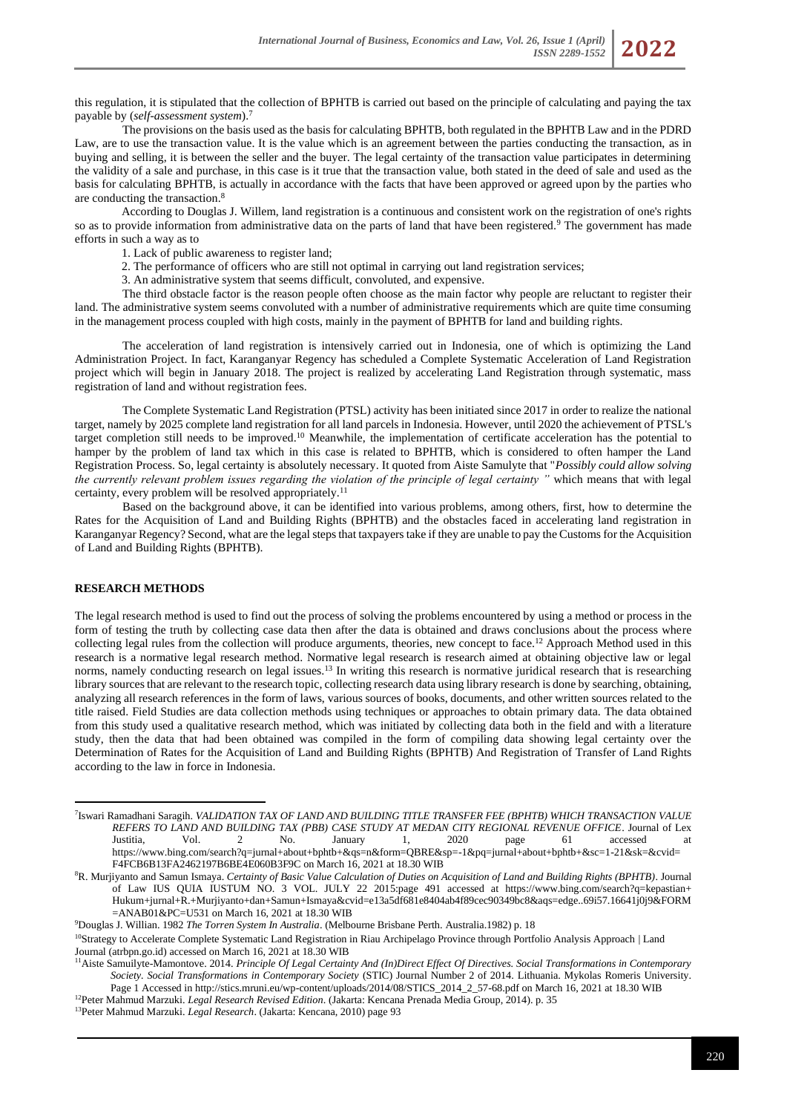this regulation, it is stipulated that the collection of BPHTB is carried out based on the principle of calculating and paying the tax payable by (*self-assessment system*).<sup>7</sup>

The provisions on the basis used as the basis for calculating BPHTB, both regulated in the BPHTB Law and in the PDRD Law, are to use the transaction value. It is the value which is an agreement between the parties conducting the transaction, as in buying and selling, it is between the seller and the buyer. The legal certainty of the transaction value participates in determining the validity of a sale and purchase, in this case is it true that the transaction value, both stated in the deed of sale and used as the basis for calculating BPHTB, is actually in accordance with the facts that have been approved or agreed upon by the parties who are conducting the transaction.<sup>8</sup>

According to Douglas J. Willem, land registration is a continuous and consistent work on the registration of one's rights so as to provide information from administrative data on the parts of land that have been registered.<sup>9</sup> The government has made efforts in such a way as to

1. Lack of public awareness to register land;

- 2. The performance of officers who are still not optimal in carrying out land registration services;
- 3. An administrative system that seems difficult, convoluted, and expensive.

The third obstacle factor is the reason people often choose as the main factor why people are reluctant to register their land. The administrative system seems convoluted with a number of administrative requirements which are quite time consuming in the management process coupled with high costs, mainly in the payment of BPHTB for land and building rights.

The acceleration of land registration is intensively carried out in Indonesia, one of which is optimizing the Land Administration Project. In fact, Karanganyar Regency has scheduled a Complete Systematic Acceleration of Land Registration project which will begin in January 2018. The project is realized by accelerating Land Registration through systematic, mass registration of land and without registration fees.

The Complete Systematic Land Registration (PTSL) activity has been initiated since 2017 in order to realize the national target, namely by 2025 complete land registration for all land parcels in Indonesia. However, until 2020 the achievement of PTSL's target completion still needs to be improved.<sup>10</sup> Meanwhile, the implementation of certificate acceleration has the potential to hamper by the problem of land tax which in this case is related to BPHTB, which is considered to often hamper the Land Registration Process. So, legal certainty is absolutely necessary. It quoted from Aiste Samulyte that "*Possibly could allow solving the currently relevant problem issues regarding the violation of the principle of legal certainty "* which means that with legal certainty, every problem will be resolved appropriately.<sup>11</sup>

Based on the background above, it can be identified into various problems, among others, first, how to determine the Rates for the Acquisition of Land and Building Rights (BPHTB) and the obstacles faced in accelerating land registration in Karanganyar Regency? Second, what are the legal steps that taxpayers take if they are unable to pay the Customs for the Acquisition of Land and Building Rights (BPHTB).

## **RESEARCH METHODS**

The legal research method is used to find out the process of solving the problems encountered by using a method or process in the form of testing the truth by collecting case data then after the data is obtained and draws conclusions about the process where collecting legal rules from the collection will produce arguments, theories, new concept to face.<sup>12</sup> Approach Method used in this research is a normative legal research method. Normative legal research is research aimed at obtaining objective law or legal norms, namely conducting research on legal issues.<sup>13</sup> In writing this research is normative juridical research that is researching library sources that are relevant to the research topic, collecting research data using library research is done by searching, obtaining, analyzing all research references in the form of laws, various sources of books, documents, and other written sources related to the title raised. Field Studies are data collection methods using techniques or approaches to obtain primary data. The data obtained from this study used a qualitative research method, which was initiated by collecting data both in the field and with a literature study, then the data that had been obtained was compiled in the form of compiling data showing legal certainty over the Determination of Rates for the Acquisition of Land and Building Rights (BPHTB) And Registration of Transfer of Land Rights according to the law in force in Indonesia.

<sup>7</sup> Iswari Ramadhani Saragih. *VALIDATION TAX OF LAND AND BUILDING TITLE TRANSFER FEE (BPHTB) WHICH TRANSACTION VALUE REFERS TO LAND AND BUILDING TAX (PBB) CASE STUDY AT MEDAN CITY REGIONAL REVENUE OFFICE*. Journal of Lex Justitia, Vol. 2 No. January 1, 2020 page 61 accessed at [https://www.bing.com/search?q=jurnal+about+bphtb+&qs=n&form=QBRE&sp=-1&pq=jurnal+about+bphtb+&sc=1-21&sk=&cvid=](https://www.bing.com/search?q=jurnal+tentang+bphtb+&qs=n&form=QBRE&sp=-1&pq=jurnal+tentang+bphtb+&sc=1-21&sk=&cvid=F4FCB6B13FA2462197B6BE4E060B3F9C) F4FCB6B13FA2462197B6BE4E060B3F9C on March 16, 2021 at 18.30 WIB

<sup>8</sup>R. Murjiyanto and Samun Ismaya. *Certainty of Basic Value Calculation of Duties on Acquisition of Land and Building Rights (BPHTB)*. Journal of Law IUS QUIA IUSTUM NO. 3 VOL. JULY 22 2015:page 491 accessed at [https://www.bing.com/search?q=kepastian+](https://www.bing.com/search?q=kepastian+hukum+jurnal+R.+Murjiyanto+dan+Samun+Ismaya&cvid=e13a5df681e8404ab4f89cec90349bc8&aqs=edge..69i57.16641j0j9&FORM=ANAB01&PC=U531)  [Hukum+jurnal+R.+Murjiyanto+dan+Samun+Ismaya&cvid=e13a5df681e8404ab4f89cec90349bc8&aqs=edge..69i57.16641j0j9&FORM](https://www.bing.com/search?q=kepastian+hukum+jurnal+R.+Murjiyanto+dan+Samun+Ismaya&cvid=e13a5df681e8404ab4f89cec90349bc8&aqs=edge..69i57.16641j0j9&FORM=ANAB01&PC=U531) [=ANAB01&PC=U531 on](https://www.bing.com/search?q=kepastian+hukum+jurnal+R.+Murjiyanto+dan+Samun+Ismaya&cvid=e13a5df681e8404ab4f89cec90349bc8&aqs=edge..69i57.16641j0j9&FORM=ANAB01&PC=U531) March 16, 2021 at 18.30 WIB

<sup>9</sup>Douglas J. Willian. 1982 *The Torren System In Australia*. (Melbourne Brisbane Perth. Australia.1982) p. 18

<sup>&</sup>lt;sup>10</sup>[Strategy to Accelerate Complete Systematic Land Registration in Riau Archipelago Province through Portfolio Analysis Approach](https://jurnalpertanahan.atrbpn.go.id/index.php/jp/article/view/24) | Land [Journal \(atrbpn.go.id\)](https://jurnalpertanahan.atrbpn.go.id/index.php/jp/article/view/24) accessed on March 16, 2021 at 18.30 WIB

<sup>11</sup>Aiste Samuilyte-Mamontove. 2014. *Principle Of Legal Certainty And (In)Direct Effect Of Directives. Social Transformations in Contemporary Society. Social Transformations in Contemporary Society* (STIC) Journal Number 2 of 2014. Lithuania. Mykolas Romeris University. Page 1 Accessed i[n http://stics.mruni.eu/wp-content/uploads/2014/08/STICS\\_2014\\_2\\_57-68.pdf](http://stics.mruni.eu/wp-content/uploads/2014/08/STICS_2014_2_57-68.pdf) on March 16, 2021 at 18.30 WIB

<sup>12</sup>Peter Mahmud Marzuki. *Legal Research Revised Edition*. (Jakarta: Kencana Prenada Media Group, 2014). p*.* 35

<sup>13</sup>Peter Mahmud Marzuki. *Legal Research*. (Jakarta: Kencana, 2010) page 93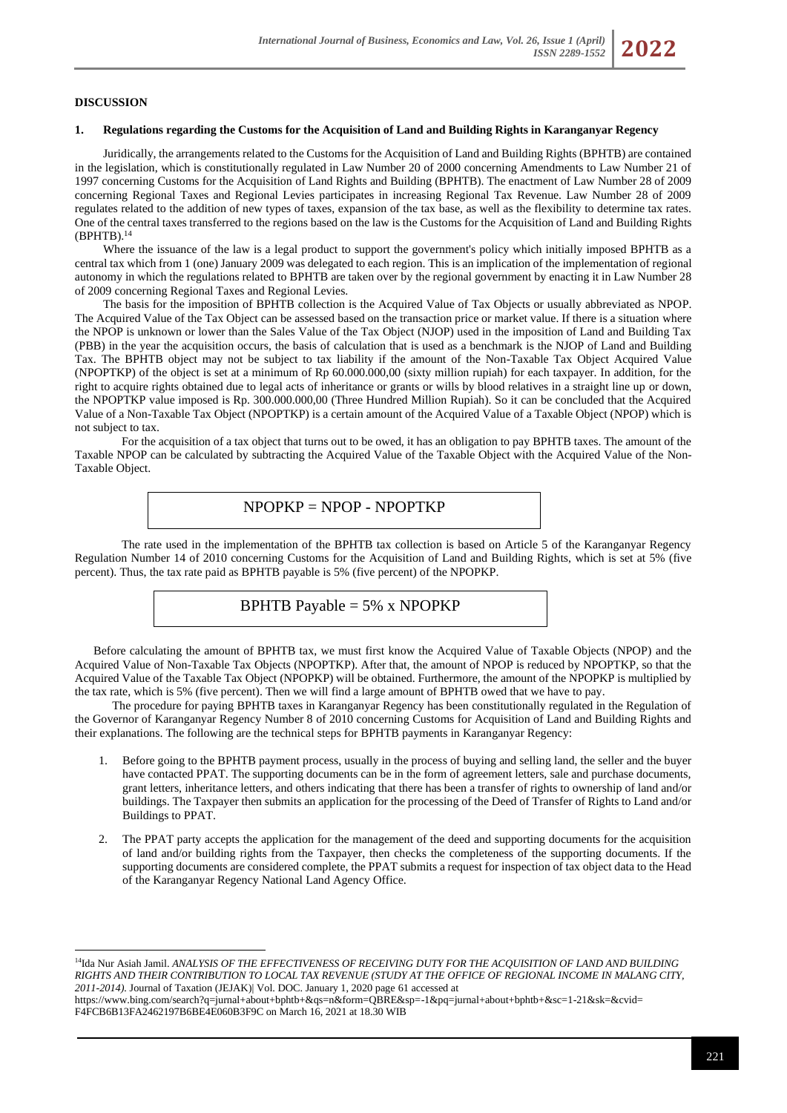## **DISCUSSION**

## **1. Regulations regarding the Customs for the Acquisition of Land and Building Rights in Karanganyar Regency**

Juridically, the arrangements related to the Customs for the Acquisition of Land and Building Rights (BPHTB) are contained in the legislation, which is constitutionally regulated in Law Number 20 of 2000 concerning Amendments to Law Number 21 of 1997 concerning Customs for the Acquisition of Land Rights and Building (BPHTB). The enactment of Law Number 28 of 2009 concerning Regional Taxes and Regional Levies participates in increasing Regional Tax Revenue. Law Number 28 of 2009 regulates related to the addition of new types of taxes, expansion of the tax base, as well as the flexibility to determine tax rates. One of the central taxes transferred to the regions based on the law is the Customs for the Acquisition of Land and Building Rights  $(BPHTB).<sup>14</sup>$ 

Where the issuance of the law is a legal product to support the government's policy which initially imposed BPHTB as a central tax which from 1 (one) January 2009 was delegated to each region. This is an implication of the implementation of regional autonomy in which the regulations related to BPHTB are taken over by the regional government by enacting it in Law Number 28 of 2009 concerning Regional Taxes and Regional Levies.

The basis for the imposition of BPHTB collection is the Acquired Value of Tax Objects or usually abbreviated as NPOP. The Acquired Value of the Tax Object can be assessed based on the transaction price or market value. If there is a situation where the NPOP is unknown or lower than the Sales Value of the Tax Object (NJOP) used in the imposition of Land and Building Tax (PBB) in the year the acquisition occurs, the basis of calculation that is used as a benchmark is the NJOP of Land and Building Tax. The BPHTB object may not be subject to tax liability if the amount of the Non-Taxable Tax Object Acquired Value (NPOPTKP) of the object is set at a minimum of Rp 60.000.000,00 (sixty million rupiah) for each taxpayer. In addition, for the right to acquire rights obtained due to legal acts of inheritance or grants or wills by blood relatives in a straight line up or down, the NPOPTKP value imposed is Rp. 300.000.000,00 (Three Hundred Million Rupiah). So it can be concluded that the Acquired Value of a Non-Taxable Tax Object (NPOPTKP) is a certain amount of the Acquired Value of a Taxable Object (NPOP) which is not subject to tax.

For the acquisition of a tax object that turns out to be owed, it has an obligation to pay BPHTB taxes. The amount of the Taxable NPOP can be calculated by subtracting the Acquired Value of the Taxable Object with the Acquired Value of the Non-Taxable Object.

# NPOPKP = NPOP - NPOPTKP

The rate used in the implementation of the BPHTB tax collection is based on Article 5 of the Karanganyar Regency Regulation Number 14 of 2010 concerning Customs for the Acquisition of Land and Building Rights, which is set at 5% (five percent). Thus, the tax rate paid as BPHTB payable is 5% (five percent) of the NPOPKP.

BPHTB Payable = 
$$
5\%
$$
 x NPOPKP

Before calculating the amount of BPHTB tax, we must first know the Acquired Value of Taxable Objects (NPOP) and the Acquired Value of Non-Taxable Tax Objects (NPOPTKP). After that, the amount of NPOP is reduced by NPOPTKP, so that the Acquired Value of the Taxable Tax Object (NPOPKP) will be obtained. Furthermore, the amount of the NPOPKP is multiplied by the tax rate, which is 5% (five percent). Then we will find a large amount of BPHTB owed that we have to pay.

The procedure for paying BPHTB taxes in Karanganyar Regency has been constitutionally regulated in the Regulation of the Governor of Karanganyar Regency Number 8 of 2010 concerning Customs for Acquisition of Land and Building Rights and their explanations. The following are the technical steps for BPHTB payments in Karanganyar Regency:

- 1. Before going to the BPHTB payment process, usually in the process of buying and selling land, the seller and the buyer have contacted PPAT. The supporting documents can be in the form of agreement letters, sale and purchase documents, grant letters, inheritance letters, and others indicating that there has been a transfer of rights to ownership of land and/or buildings. The Taxpayer then submits an application for the processing of the Deed of Transfer of Rights to Land and/or Buildings to PPAT.
- 2. The PPAT party accepts the application for the management of the deed and supporting documents for the acquisition of land and/or building rights from the Taxpayer, then checks the completeness of the supporting documents. If the supporting documents are considered complete, the PPAT submits a request for inspection of tax object data to the Head of the Karanganyar Regency National Land Agency Office.

<sup>&</sup>lt;sup>14</sup>Ida Nur Asiah Jamil. *ANALYSIS OF THE EFFECTIVENESS OF RECEIVING DUTY FOR THE ACQUISITION OF LAND AND BUILDING RIGHTS AND THEIR CONTRIBUTION TO LOCAL TAX REVENUE (STUDY AT THE OFFICE OF REGIONAL INCOME IN MALANG CITY, 2011-2014).* Journal of Taxation (JEJAK)| Vol. DOC. January 1, 2020 pag[e 61 accessed at](https://www.bing.com/search?q=jurnal+tentang+bphtb+&qs=n&form=QBRE&sp=-1&pq=jurnal+tentang+bphtb+&sc=1-21&sk=&cvid=F4FCB6B13FA2462197B6BE4E060B3F9C) 

[https://www.bing.com/search?q=jurnal+about+bphtb+&qs=n&form=QBRE&sp=-1&pq=jurnal+about+bphtb+&sc=1-21&sk=&cvid=](https://www.bing.com/search?q=jurnal+tentang+bphtb+&qs=n&form=QBRE&sp=-1&pq=jurnal+tentang+bphtb+&sc=1-21&sk=&cvid=F4FCB6B13FA2462197B6BE4E060B3F9C) F4FCB6B13FA2462197B6BE4E060B3F9C on March 16, 2021 at 18.30 WIB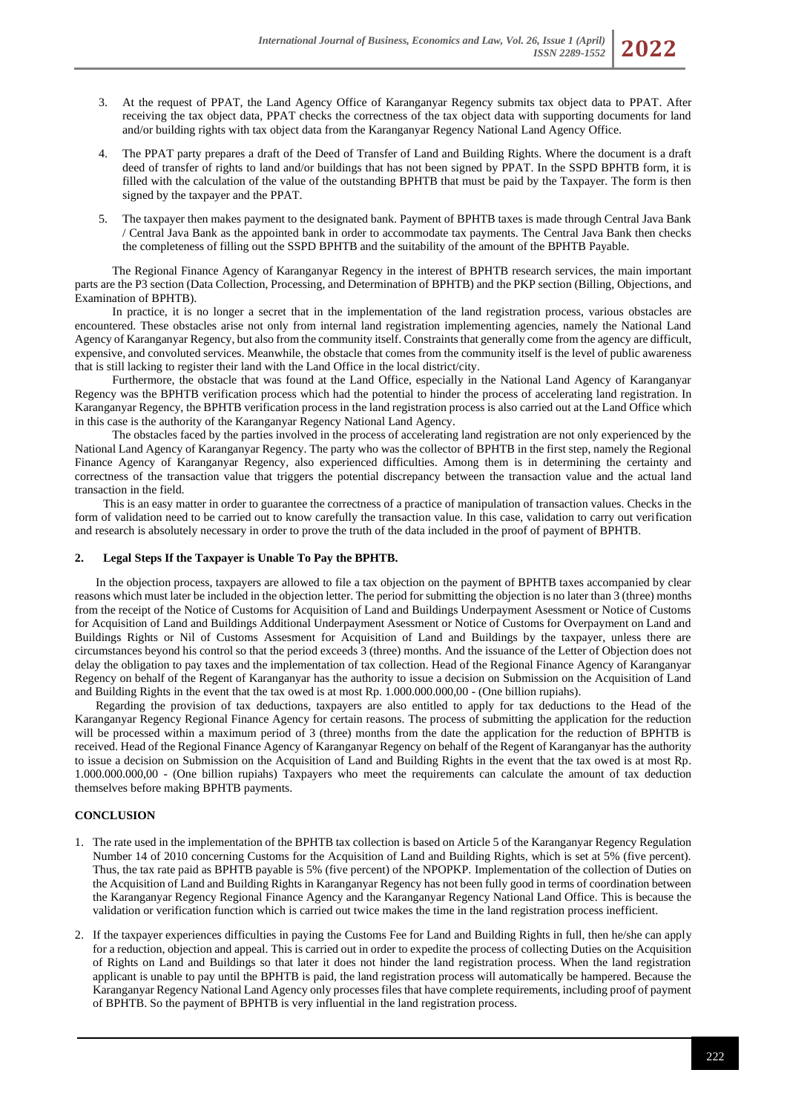- 3. At the request of PPAT, the Land Agency Office of Karanganyar Regency submits tax object data to PPAT. After receiving the tax object data, PPAT checks the correctness of the tax object data with supporting documents for land and/or building rights with tax object data from the Karanganyar Regency National Land Agency Office.
- 4. The PPAT party prepares a draft of the Deed of Transfer of Land and Building Rights. Where the document is a draft deed of transfer of rights to land and/or buildings that has not been signed by PPAT. In the SSPD BPHTB form, it is filled with the calculation of the value of the outstanding BPHTB that must be paid by the Taxpayer. The form is then signed by the taxpayer and the PPAT.
- 5. The taxpayer then makes payment to the designated bank. Payment of BPHTB taxes is made through Central Java Bank / Central Java Bank as the appointed bank in order to accommodate tax payments. The Central Java Bank then checks the completeness of filling out the SSPD BPHTB and the suitability of the amount of the BPHTB Payable.

The Regional Finance Agency of Karanganyar Regency in the interest of BPHTB research services, the main important parts are the P3 section (Data Collection, Processing, and Determination of BPHTB) and the PKP section (Billing, Objections, and Examination of BPHTB).

In practice, it is no longer a secret that in the implementation of the land registration process, various obstacles are encountered. These obstacles arise not only from internal land registration implementing agencies, namely the National Land Agency of Karanganyar Regency, but also from the community itself. Constraints that generally come from the agency are difficult, expensive, and convoluted services. Meanwhile, the obstacle that comes from the community itself is the level of public awareness that is still lacking to register their land with the Land Office in the local district/city.

Furthermore, the obstacle that was found at the Land Office, especially in the National Land Agency of Karanganyar Regency was the BPHTB verification process which had the potential to hinder the process of accelerating land registration. In Karanganyar Regency, the BPHTB verification process in the land registration process is also carried out at the Land Office which in this case is the authority of the Karanganyar Regency National Land Agency.

The obstacles faced by the parties involved in the process of accelerating land registration are not only experienced by the National Land Agency of Karanganyar Regency. The party who was the collector of BPHTB in the first step, namely the Regional Finance Agency of Karanganyar Regency, also experienced difficulties. Among them is in determining the certainty and correctness of the transaction value that triggers the potential discrepancy between the transaction value and the actual land transaction in the field.

This is an easy matter in order to guarantee the correctness of a practice of manipulation of transaction values. Checks in the form of validation need to be carried out to know carefully the transaction value. In this case, validation to carry out verification and research is absolutely necessary in order to prove the truth of the data included in the proof of payment of BPHTB.

# **2. Legal Steps If the Taxpayer is Unable To Pay the BPHTB.**

 In the objection process, taxpayers are allowed to file a tax objection on the payment of BPHTB taxes accompanied by clear reasons which must later be included in the objection letter. The period for submitting the objection is no later than 3 (three) months from the receipt of the Notice of Customs for Acquisition of Land and Buildings Underpayment Asessment or Notice of Customs for Acquisition of Land and Buildings Additional Underpayment Asessment or Notice of Customs for Overpayment on Land and Buildings Rights or Nil of Customs Assesment for Acquisition of Land and Buildings by the taxpayer, unless there are circumstances beyond his control so that the period exceeds 3 (three) months. And the issuance of the Letter of Objection does not delay the obligation to pay taxes and the implementation of tax collection. Head of the Regional Finance Agency of Karanganyar Regency on behalf of the Regent of Karanganyar has the authority to issue a decision on Submission on the Acquisition of Land and Building Rights in the event that the tax owed is at most Rp. 1.000.000.000,00 - (One billion rupiahs).

 Regarding the provision of tax deductions, taxpayers are also entitled to apply for tax deductions to the Head of the Karanganyar Regency Regional Finance Agency for certain reasons. The process of submitting the application for the reduction will be processed within a maximum period of 3 (three) months from the date the application for the reduction of BPHTB is received. Head of the Regional Finance Agency of Karanganyar Regency on behalf of the Regent of Karanganyar has the authority to issue a decision on Submission on the Acquisition of Land and Building Rights in the event that the tax owed is at most Rp. 1.000.000.000,00 - (One billion rupiahs) Taxpayers who meet the requirements can calculate the amount of tax deduction themselves before making BPHTB payments.

# **CONCLUSION**

- 1. The rate used in the implementation of the BPHTB tax collection is based on Article 5 of the Karanganyar Regency Regulation Number 14 of 2010 concerning Customs for the Acquisition of Land and Building Rights, which is set at 5% (five percent). Thus, the tax rate paid as BPHTB payable is 5% (five percent) of the NPOPKP. Implementation of the collection of Duties on the Acquisition of Land and Building Rights in Karanganyar Regency has not been fully good in terms of coordination between the Karanganyar Regency Regional Finance Agency and the Karanganyar Regency National Land Office. This is because the validation or verification function which is carried out twice makes the time in the land registration process inefficient.
- 2. If the taxpayer experiences difficulties in paying the Customs Fee for Land and Building Rights in full, then he/she can apply for a reduction, objection and appeal. This is carried out in order to expedite the process of collecting Duties on the Acquisition of Rights on Land and Buildings so that later it does not hinder the land registration process. When the land registration applicant is unable to pay until the BPHTB is paid, the land registration process will automatically be hampered. Because the Karanganyar Regency National Land Agency only processes files that have complete requirements, including proof of payment of BPHTB. So the payment of BPHTB is very influential in the land registration process.